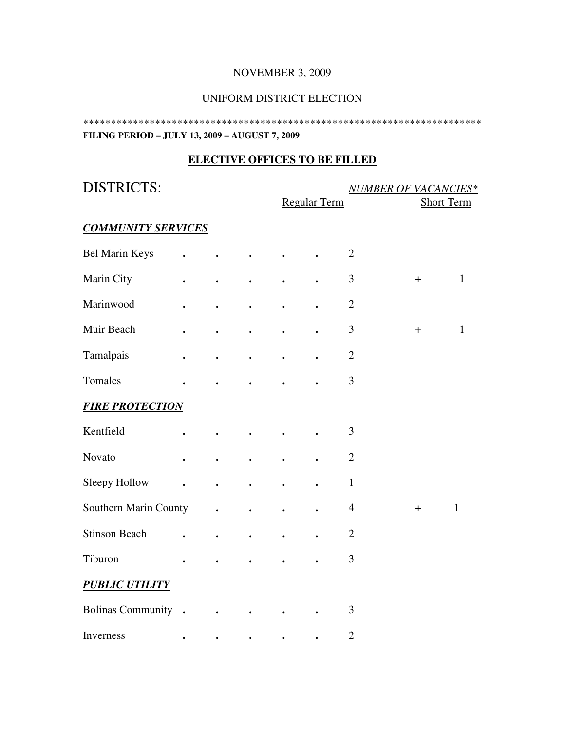### NOVEMBER 3, 2009

#### UNIFORM DISTRICT ELECTION

\*\*\*\*\*\*\*\*\*\*\*\*\*\*\*\*\*\*\*\*\*\*\*\*\*\*\*\*\*\*\*\*\*\*\*\*\*\*\*\*\*\*\*\*\*\*\*\*\*\*\*\*\*\*\*\*\*\*\*\*\*\*\*\*\*\*\*\*\*\*\*\* **FILING PERIOD – JULY 13, 2009 – AUGUST 7, 2009** 

### **ELECTIVE OFFICES TO BE FILLED**

DISTRICTS: *NUMBER OF VACANCIES\** Regular Term Short Term *COMMUNITY SERVICES* Bel Marin Keys **. . . . .** 2 Marin City **. . . . . . . . 3** + 1 Marinwood **. . . . .** 2 Muir Beach **. . . . .** 3 + 1 Tamalpais **. . . . . . 2** Tomales **. . . . .** 3 *FIRE PROTECTION* Kentfield **. . . . .** 3 Novato **. . . . .** 2 Sleepy Hollow **. . . . . . 1** Southern Marin County **. . . . . 4** + 1 Stinson Beach **. . . . . . 2** Tiburon **. . . . .** 3 *PUBLIC UTILITY* Bolinas Community **. . . . .** 3 **Inverness** . . . . . . 2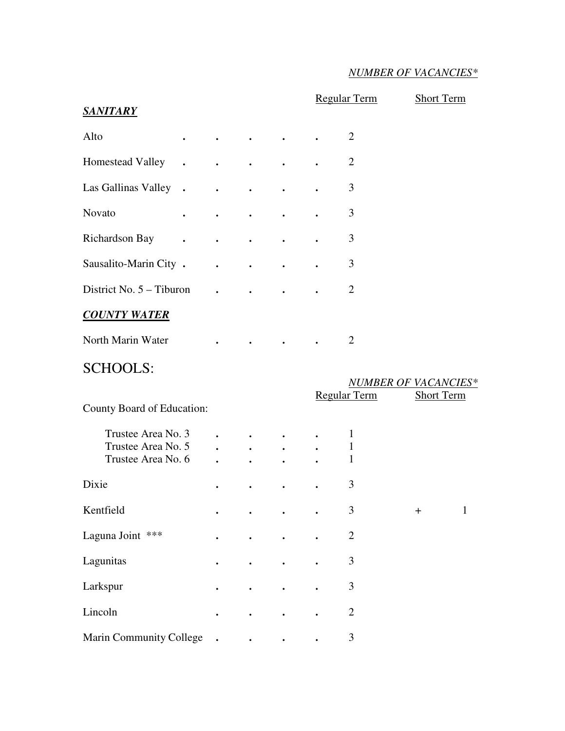## *NUMBER OF VACANCIES\**

|                            |                                  |                                                             |                                                                                                                                         |                           |                             | <b>Regular Term</b> | <b>Short Term</b> |              |
|----------------------------|----------------------------------|-------------------------------------------------------------|-----------------------------------------------------------------------------------------------------------------------------------------|---------------------------|-----------------------------|---------------------|-------------------|--------------|
| <b>SANITARY</b>            |                                  |                                                             |                                                                                                                                         |                           |                             |                     |                   |              |
| Alto                       | $\bullet$                        | $\bullet$ .<br><br><br><br><br><br><br><br><br><br><br><br> | $\bullet$ .<br><br><br><br><br><br><br><br><br><br><br><br><br><br><br><br><br><br><br><br><br><br><br><br><br><br><br><br><br><br><br> |                           |                             | $\overline{2}$      |                   |              |
| <b>Homestead Valley</b>    | $\bullet$ . The set of $\bullet$ | $\bullet$ . The second second second $\bullet$              |                                                                                                                                         | $\bullet$ .               |                             | $\overline{2}$      |                   |              |
| Las Gallinas Valley .      |                                  | $\bullet$ .                                                 | $\bullet$ .                                                                                                                             | $\bullet$                 |                             | 3                   |                   |              |
| Novato                     | $\bullet$                        | $\bullet$ . The set of $\mathcal{O}$                        | $\bullet$ and $\bullet$                                                                                                                 | $\bullet$                 |                             | 3                   |                   |              |
| Richardson Bay             | $\bullet$                        | $\bullet$ . $\bullet$                                       | $\bullet$                                                                                                                               | $\bullet$                 |                             | 3                   |                   |              |
| Sausalito-Marin City .     |                                  | $\bullet$ . The set of $\mathcal{O}(\mathbb{R}^d)$          | $\bullet$                                                                                                                               | $\bullet$                 |                             | 3                   |                   |              |
| District No. $5 - Tiburon$ |                                  | $\bullet$                                                   | $\bullet$ . $\bullet$                                                                                                                   | $\bullet$ . $\bullet$     |                             | $\overline{2}$      |                   |              |
| <b>COUNTY WATER</b>        |                                  |                                                             |                                                                                                                                         |                           |                             |                     |                   |              |
| North Marin Water          |                                  |                                                             |                                                                                                                                         |                           |                             | $\overline{2}$      |                   |              |
| <b>SCHOOLS:</b>            |                                  |                                                             |                                                                                                                                         |                           |                             |                     |                   |              |
|                            |                                  |                                                             |                                                                                                                                         |                           | <b>NUMBER OF VACANCIES*</b> |                     |                   |              |
| County Board of Education: |                                  |                                                             |                                                                                                                                         |                           |                             | Regular Term        | <b>Short Term</b> |              |
| Trustee Area No. 3         |                                  | $\bullet$ . The set of $\mathcal{O}(\mathbb{R}^d)$          | $\bullet$ . $\bullet$                                                                                                                   |                           |                             | 1                   |                   |              |
| Trustee Area No. 5         |                                  | $\mathbf{L}$                                                | $\mathbf{L} = \mathbf{L}$                                                                                                               | $\mathbf{L} = \mathbf{L}$ |                             | 1                   |                   |              |
| Trustee Area No. 6         |                                  | $\ddot{\phantom{0}}$                                        | $\ddot{\phantom{0}}$                                                                                                                    |                           |                             | $\mathbf{1}$        |                   |              |
| Dixie                      |                                  |                                                             |                                                                                                                                         |                           |                             | 3                   |                   |              |
| Kentfield                  |                                  |                                                             |                                                                                                                                         |                           |                             | $\mathfrak{Z}$      | $\ddot{}$         | $\mathbf{1}$ |
| Laguna Joint ***           |                                  |                                                             |                                                                                                                                         |                           |                             | $\overline{2}$      |                   |              |
|                            |                                  |                                                             |                                                                                                                                         |                           |                             |                     |                   |              |
| Lagunitas                  |                                  |                                                             | $\bullet$                                                                                                                               |                           |                             | $\mathfrak{Z}$      |                   |              |
| Larkspur                   |                                  |                                                             |                                                                                                                                         |                           |                             | $\mathfrak{Z}$      |                   |              |
| Lincoln                    |                                  |                                                             |                                                                                                                                         |                           |                             | $\mathbf{2}$        |                   |              |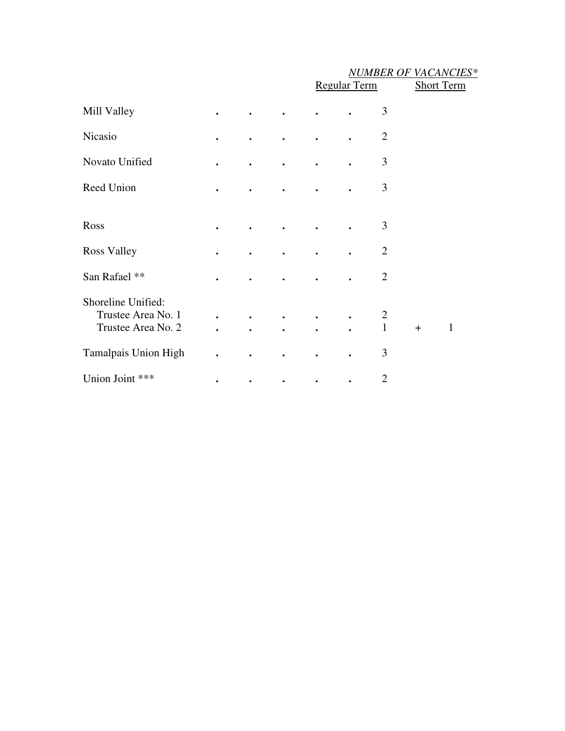### *NUMBER OF VACANCIES\**

|                                                                |                        |                        |                        | <b>Regular Term</b> |           |                                | <b>Short Term</b> |              |  |
|----------------------------------------------------------------|------------------------|------------------------|------------------------|---------------------|-----------|--------------------------------|-------------------|--------------|--|
| Mill Valley                                                    | $\bullet$              | $\bullet$              | $\bullet$              |                     |           | 3                              |                   |              |  |
| Nicasio                                                        |                        |                        |                        |                     |           | $\overline{2}$                 |                   |              |  |
| Novato Unified                                                 | $\bullet$              |                        |                        |                     |           | 3                              |                   |              |  |
| Reed Union                                                     | $\bullet$              | $\bullet$              | $\bullet$              | $\bullet$           |           | 3                              |                   |              |  |
| Ross                                                           | $\bullet$              | $\bullet$              | $\bullet$              | $\bullet$           |           | 3                              |                   |              |  |
| <b>Ross Valley</b>                                             | $\bullet$              |                        |                        |                     |           | $\overline{2}$                 |                   |              |  |
| San Rafael **                                                  | $\bullet$              |                        |                        |                     |           | $\overline{2}$                 |                   |              |  |
| Shoreline Unified:<br>Trustee Area No. 1<br>Trustee Area No. 2 | $\bullet$<br>$\bullet$ | $\bullet$<br>$\bullet$ | $\bullet$<br>$\bullet$ | $\bullet$           | $\bullet$ | $\overline{2}$<br>$\mathbf{1}$ | $+$               | $\mathbf{1}$ |  |
| Tamalpais Union High                                           | $\bullet$              |                        | $\bullet$              |                     |           | 3                              |                   |              |  |
| Union Joint ***                                                |                        |                        | $\bullet$              |                     |           | $\overline{2}$                 |                   |              |  |